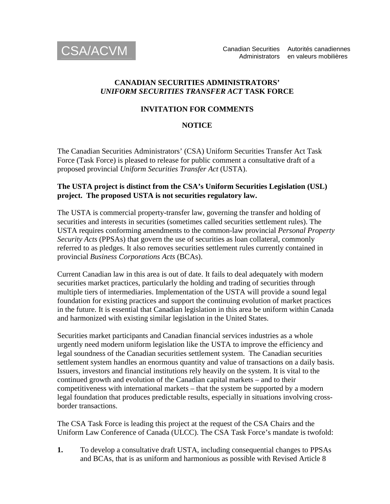

### **CANADIAN SECURITIES ADMINISTRATORS'**  *UNIFORM SECURITIES TRANSFER ACT* **TASK FORCE**

# **INVITATION FOR COMMENTS**

# **NOTICE**

The Canadian Securities Administrators' (CSA) Uniform Securities Transfer Act Task Force (Task Force) is pleased to release for public comment a consultative draft of a proposed provincial *Uniform Securities Transfer Act* (USTA).

## **The USTA project is distinct from the CSA's Uniform Securities Legislation (USL) project. The proposed USTA is not securities regulatory law.**

The USTA is commercial property-transfer law, governing the transfer and holding of securities and interests in securities (sometimes called securities settlement rules). The USTA requires conforming amendments to the common-law provincial *Personal Property Security Acts* (PPSAs) that govern the use of securities as loan collateral, commonly referred to as pledges. It also removes securities settlement rules currently contained in provincial *Business Corporations Acts* (BCAs).

Current Canadian law in this area is out of date. It fails to deal adequately with modern securities market practices, particularly the holding and trading of securities through multiple tiers of intermediaries. Implementation of the USTA will provide a sound legal foundation for existing practices and support the continuing evolution of market practices in the future. It is essential that Canadian legislation in this area be uniform within Canada and harmonized with existing similar legislation in the United States.

Securities market participants and Canadian financial services industries as a whole urgently need modern uniform legislation like the USTA to improve the efficiency and legal soundness of the Canadian securities settlement system. The Canadian securities settlement system handles an enormous quantity and value of transactions on a daily basis. Issuers, investors and financial institutions rely heavily on the system. It is vital to the continued growth and evolution of the Canadian capital markets – and to their competitiveness with international markets – that the system be supported by a modern legal foundation that produces predictable results, especially in situations involving crossborder transactions.

The CSA Task Force is leading this project at the request of the CSA Chairs and the Uniform Law Conference of Canada (ULCC). The CSA Task Force's mandate is twofold:

**1.** To develop a consultative draft USTA, including consequential changes to PPSAs and BCAs, that is as uniform and harmonious as possible with Revised Article 8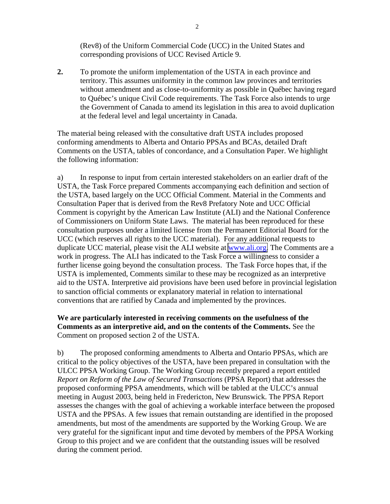(Rev8) of the Uniform Commercial Code (UCC) in the United States and corresponding provisions of UCC Revised Article 9.

**2.** To promote the uniform implementation of the USTA in each province and territory. This assumes uniformity in the common law provinces and territories without amendment and as close-to-uniformity as possible in Québec having regard to Québec's unique Civil Code requirements. The Task Force also intends to urge the Government of Canada to amend its legislation in this area to avoid duplication at the federal level and legal uncertainty in Canada.

The material being released with the consultative draft USTA includes proposed conforming amendments to Alberta and Ontario PPSAs and BCAs, detailed Draft Comments on the USTA, tables of concordance, and a Consultation Paper. We highlight the following information:

a) In response to input from certain interested stakeholders on an earlier draft of the USTA, the Task Force prepared Comments accompanying each definition and section of the USTA, based largely on the UCC Official Comment. Material in the Comments and Consultation Paper that is derived from the Rev8 Prefatory Note and UCC Official Comment is copyright by the American Law Institute (ALI) and the National Conference of Commissioners on Uniform State Laws. The material has been reproduced for these consultation purposes under a limited license from the Permanent Editorial Board for the UCC (which reserves all rights to the UCC material). For any additional requests to duplicate UCC material, please visit the ALI website at [www.ali.org.](http://www.ali.org/) The Comments are a work in progress. The ALI has indicated to the Task Force a willingness to consider a further license going beyond the consultation process. The Task Force hopes that, if the USTA is implemented, Comments similar to these may be recognized as an interpretive aid to the USTA. Interpretive aid provisions have been used before in provincial legislation to sanction official comments or explanatory material in relation to international conventions that are ratified by Canada and implemented by the provinces.

### **We are particularly interested in receiving comments on the usefulness of the Comments as an interpretive aid, and on the contents of the Comments.** See the Comment on proposed section 2 of the USTA.

b) The proposed conforming amendments to Alberta and Ontario PPSAs, which are critical to the policy objectives of the USTA, have been prepared in consultation with the ULCC PPSA Working Group. The Working Group recently prepared a report entitled *Report on Reform of the Law of Secured Transactions* (PPSA Report) that addresses the proposed conforming PPSA amendments, which will be tabled at the ULCC's annual meeting in August 2003, being held in Fredericton, New Brunswick. The PPSA Report assesses the changes with the goal of achieving a workable interface between the proposed USTA and the PPSAs. A few issues that remain outstanding are identified in the proposed amendments, but most of the amendments are supported by the Working Group. We are very grateful for the significant input and time devoted by members of the PPSA Working Group to this project and we are confident that the outstanding issues will be resolved during the comment period.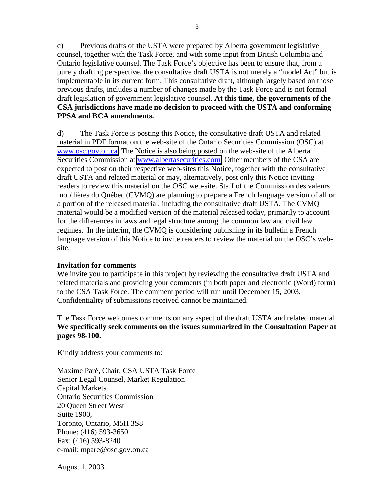c) Previous drafts of the USTA were prepared by Alberta government legislative counsel, together with the Task Force, and with some input from British Columbia and Ontario legislative counsel. The Task Force's objective has been to ensure that, from a purely drafting perspective, the consultative draft USTA is not merely a "model Act" but is implementable in its current form. This consultative draft, although largely based on those previous drafts, includes a number of changes made by the Task Force and is not formal draft legislation of government legislative counsel. **At this time, the governments of the CSA jurisdictions have made no decision to proceed with the USTA and conforming PPSA and BCA amendments.** 

d) The Task Force is posting this Notice, the consultative draft USTA and related material in PDF format on the web-site of the Ontario Securities Commission (OSC) at [www.osc.gov.on.ca.](http://www.osc.gov.on.ca/) The Notice is also being posted on the web-site of the Alberta Securities Commission at [www.albertasecurities.com.](http://www.albertasecurities.com/) Other members of the CSA are expected to post on their respective web-sites this Notice, together with the consultative draft USTA and related material or may, alternatively, post only this Notice inviting readers to review this material on the OSC web-site. Staff of the Commission des valeurs mobilières du Québec (CVMQ) are planning to prepare a French language version of all or a portion of the released material, including the consultative draft USTA. The CVMQ material would be a modified version of the material released today, primarily to account for the differences in laws and legal structure among the common law and civil law regimes. In the interim, the CVMQ is considering publishing in its bulletin a French language version of this Notice to invite readers to review the material on the OSC's website.

#### **Invitation for comments**

We invite you to participate in this project by reviewing the consultative draft USTA and related materials and providing your comments (in both paper and electronic (Word) form) to the CSA Task Force. The comment period will run until December 15, 2003. Confidentiality of submissions received cannot be maintained.

The Task Force welcomes comments on any aspect of the draft USTA and related material. **We specifically seek comments on the issues summarized in the Consultation Paper at pages 98-100.** 

Kindly address your comments to:

Maxime Paré, Chair, CSA USTA Task Force Senior Legal Counsel, Market Regulation Capital Markets Ontario Securities Commission 20 Queen Street West Suite 1900, Toronto, Ontario, M5H 3S8 Phone: (416) 593-3650 Fax: (416) 593-8240 e-mail: mpare@osc.gov.on.ca

August 1, 2003.